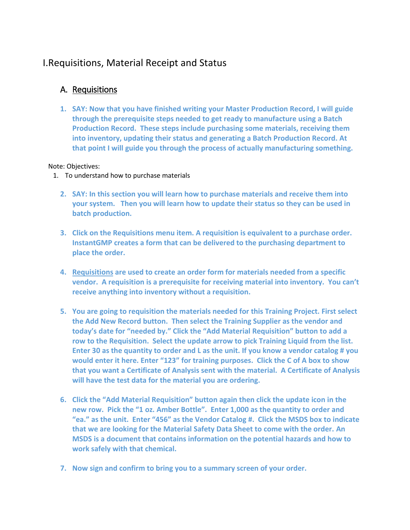## I.Requisitions, Material Receipt and Status

## A. Requisitions

**1. SAY: Now that you have finished writing your Master Production Record, I will guide through the prerequisite steps needed to get ready to manufacture using a Batch Production Record. These steps include purchasing some materials, receiving them into inventory, updating their status and generating a Batch Production Record. At that point I will guide you through the process of actually manufacturing something.** 

## Note: Objectives:

- 1. To understand how to purchase materials
	- **2. SAY: In this section you will learn how to purchase materials and receive them into your system. Then you will learn how to update their status so they can be used in batch production.**
	- **3. Click on the Requisitions menu item. A requisition is equivalent to a purchase order. InstantGMP creates a form that can be delivered to the purchasing department to place the order.**
	- **4. Requisitions are used to create an order form for materials needed from a specific vendor. A requisition is a prerequisite for receiving material into inventory. You can't receive anything into inventory without a requisition.**
	- **5. You are going to requisition the materials needed for this Training Project. First select the Add New Record button. Then select the Training Supplier as the vendor and today's date for "needed by." Click the "Add Material Requisition" button to add a row to the Requisition. Select the update arrow to pick Training Liquid from the list. Enter 30 as the quantity to order and L as the unit. If you know a vendor catalog # you would enter it here. Enter "123" for training purposes. Click the C of A box to show that you want a Certificate of Analysis sent with the material. A Certificate of Analysis will have the test data for the material you are ordering.**
	- **6. Click the "Add Material Requisition" button again then click the update icon in the new row. Pick the "1 oz. Amber Bottle". Enter 1,000 as the quantity to order and "ea." as the unit. Enter "456" as the Vendor Catalog #. Click the MSDS box to indicate that we are looking for the Material Safety Data Sheet to come with the order. An MSDS is a document that contains information on the potential hazards and how to work safely with that chemical.**
	- **7. Now sign and confirm to bring you to a summary screen of your order.**